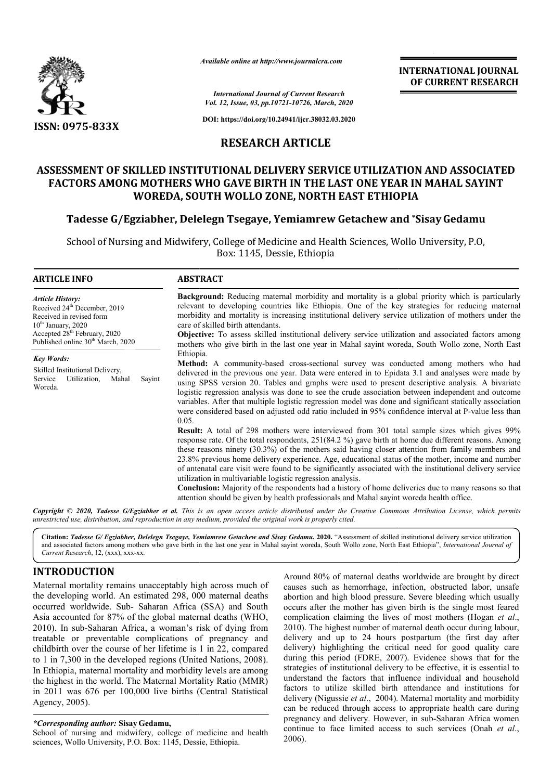

*Available online at http://www.journalcra.com*

 **INTERNATIONAL JOURNAL OF CURRENT RESEARCH**

*International Journal of Current Research Vol. 12, Issue, 03, pp.10721-10726, March, 2020*

**DOI: https://doi.org/10.24941/ijcr.38032.03.2020**

## **RESEARCH ARTICLE**

# **ASSESSMENT OF SKILLED INSTITUTIONAL DELIVERY SERVICE UTILIZATION AND ASSOCIATED FACTORS AMONG MOTHERS WHO GAVE BIRTH IN THE LAST ONE YEAR IN MAHAL SAYINT WOREDA, SOUTH WOLLO ZONE, NORTH EAST ETHIOPIA** ASSESSMENT OF SKILLED INSTITUTIONAL DELIVERY SERVICE UTILIZATION AND ASSOCI<br>FACTORS AMONG MOTHERS WHO GAVE BIRTH IN THE LAST ONE YEAR IN MAHAL SAY<br>WOREDA, SOUTH WOLLO ZONE, NORTH EAST ETHIOPIA<br>Tadesse G/Egziabher, Delelegn

School of Nursing and Midwifery, College of Medicine and Health Sciences, Wollo University, P.O, Box: 1145, Dessie, Ethiopia

| <b>ARTICLE INFO</b>                                                                                                                                                                                                  | <b>ABSTRACT</b>                                                                                                                                                                                                                                                                                                                                                                                                                                                                                                                                                                                                                                                                                                                                                                                                                                                                                                                                                                                                                                                                                                                                                                                                                                                                                                                                                                                                                                           |
|----------------------------------------------------------------------------------------------------------------------------------------------------------------------------------------------------------------------|-----------------------------------------------------------------------------------------------------------------------------------------------------------------------------------------------------------------------------------------------------------------------------------------------------------------------------------------------------------------------------------------------------------------------------------------------------------------------------------------------------------------------------------------------------------------------------------------------------------------------------------------------------------------------------------------------------------------------------------------------------------------------------------------------------------------------------------------------------------------------------------------------------------------------------------------------------------------------------------------------------------------------------------------------------------------------------------------------------------------------------------------------------------------------------------------------------------------------------------------------------------------------------------------------------------------------------------------------------------------------------------------------------------------------------------------------------------|
| <b>Article History:</b><br>Received 24 <sup>th</sup> December, 2019<br>Received in revised form<br>$10th$ January, 2020<br>Accepted 28 <sup>th</sup> February, 2020<br>Published online 30 <sup>th</sup> March, 2020 | <b>Background:</b> Reducing maternal morbidity and mortality is a global priority which is particularly<br>relevant to developing countries like Ethiopia. One of the key strategies for reducing maternal<br>morbidity and mortality is increasing institutional delivery service utilization of mothers under the<br>care of skilled birth attendants.<br><b>Objective:</b> To assess skilled institutional delivery service utilization and associated factors among<br>mothers who give birth in the last one year in Mahal sayint woreda, South Wollo zone, North East                                                                                                                                                                                                                                                                                                                                                                                                                                                                                                                                                                                                                                                                                                                                                                                                                                                                               |
| <b>Key Words:</b><br>Skilled Institutional Delivery,<br>Utilization,<br>Service<br>Mahal<br>Sayint<br>Woreda.                                                                                                        | Ethiopia.<br>Method: A community-based cross-sectional survey was conducted among mothers who had<br>delivered in the previous one year. Data were entered in to Epidata 3.1 and analyses were made by<br>using SPSS version 20. Tables and graphs were used to present descriptive analysis. A bivariate<br>logistic regression analysis was done to see the crude association between independent and outcome<br>variables. After that multiple logistic regression model was done and significant statically association<br>were considered based on adjusted odd ratio included in 95% confidence interval at P-value less than<br>0.05.<br><b>Result:</b> A total of 298 mothers were interviewed from 301 total sample sizes which gives 99%<br>response rate. Of the total respondents, 251(84.2 %) gave birth at home due different reasons. Among<br>these reasons ninety (30.3%) of the mothers said having closer attention from family members and<br>23.8% previous home delivery experience. Age, educational status of the mother, income and number<br>of antenatal care visit were found to be significantly associated with the institutional delivery service<br>utilization in multivariable logistic regression analysis.<br><b>Conclusion:</b> Majority of the respondents had a history of home deliveries due to many reasons so that<br>attention should be given by health professionals and Mahal sayint woreda health office. |

Copyright © 2020, Tadesse G/Egziabher et al. This is an open access article distributed under the Creative Commons Attribution License, which permits *unrestricted use, distribution, and reproduction in any medium, provided the original work is properly cited.*

Citation: Tadesse G/ Egziabher, Delelegn Tsegaye, Yemiamrew Getachew and Sisay Gedamu. 2020. "Assessment of skilled institutional delivery service utilization Citation: Tadesse G/Egziabher, Delelegn Tsegaye, Yemiamrew Getachew and Sisay Gedamu. 2020. "Assessment of skilled institutional delivery service utilization<br>and associated factors among mothers who gave birth in the last *Current Research*, 12, (xxx), xxx-xx.

## **INTRODUCTION**

Maternal mortality remains unacceptably high across much of the developing world. An estimated 298, 000 maternal deaths occurred worldwide. Sub- Saharan Africa (SSA) and South Asia accounted for 87% of the global maternal deaths (WHO, 2010). In sub-Saharan Africa, a woman's risk of dying from treatable or preventable complications of pregnancy and childbirth over the course of her lifetime is 1 in 22, compared to 1 in 7,300 in the developed regions (United Nations, 2008). In Ethiopia, maternal mortality and morbidity levels are among the highest in the world. The Maternal Mortality Ratio (MMR) in 2011 was 676 per 100,000 live births ( (Central Statistical Agency, 2005). Saharan Africa, a woman's risk of dying from<br>preventable complications of pregnancy and<br>the course of her lifetime is 1 in 22, compared<br>n the developed regions (United Nations, 2008).

*\*Corresponding author:* **Sisay Gedamu,**

School of nursing and midwifery, college of medicine and health sciences, Wollo University, P.O. Box: 1145, Dessie, Ethiopia.

Around 80% of maternal deaths worldwide are brought by direct causes such as hemorrhage, infection, obstructed labor, unsafe abortion and high blood pressure. Severe bleeding which usually abortion and high blood pressure. Severe bleeding which usually occurs after the mother has given birth is the single most feared complication claiming the lives of most mothers (Hogan *et al*., 2010). The highest number of maternal death occur during labour, delivery and up to 24 hours postpartum (the first day after delivery) highlighting the critical need for good quality care during this period (FDRE, 2007). Evidence shows that for the strategies of institutional delivery to be effective, it is essential to understand the factors that influence individual and household factors to utilize skilled birth attendance and institutions for delivery (Nigussie *et al*., 2004). Maternal mortality and morbidity can be reduced through access to appropriate health care during pregnancy and delivery. However, in sub-Saharan Africa women continue to face limited access to such services (Onah et al., 2006). hest number of maternal death occur during labour,<br>up to 24 hours postpartum (the first day after<br>lighting the critical need for good quality care<br>riod (FDRE, 2007). Evidence shows that for the is of institutional delivery to be effective, it is essential to nd the factors that influence individual and household to utilize skilled birth attendance and institutions for (Nigussie *et al.*, 2004). Maternal mortality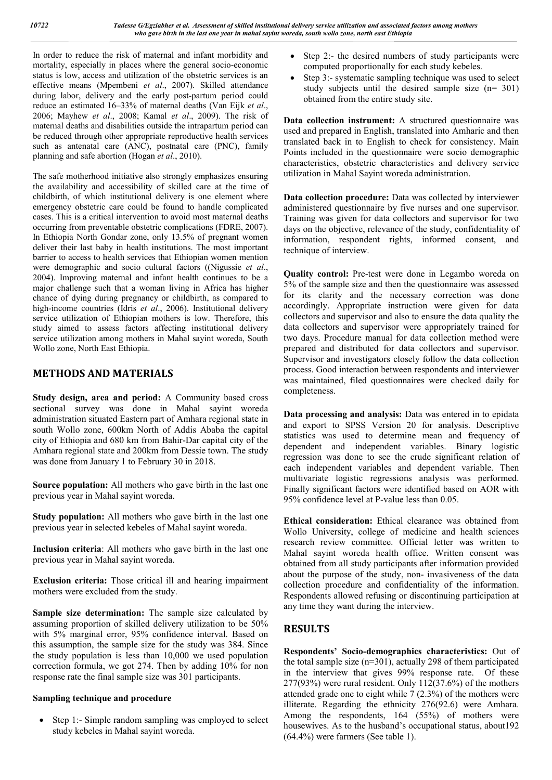In order to reduce the risk of maternal and infant morbidity and mortality, especially in places where the general socio-economic status is low, access and utilization of the obstetric services is an effective means (Mpembeni *et al*., 2007). Skilled attendance during labor, delivery and the early post-partum period could reduce an estimated 16–33% of maternal deaths (Van Eijk *et al*., 2006; Mayhew *et al*., 2008; Kamal *et al*., 2009). The risk of maternal deaths and disabilities outside the intrapartum period can be reduced through other appropriate reproductive health services such as antenatal care (ANC), postnatal care (PNC), family planning and safe abortion (Hogan *et al*., 2010).

The safe motherhood initiative also strongly emphasizes ensuring the availability and accessibility of skilled care at the time of childbirth, of which institutional delivery is one element where emergency obstetric care could be found to handle complicated cases. This is a critical intervention to avoid most maternal deaths occurring from preventable obstetric complications (FDRE, 2007). In Ethiopia North Gondar zone, only 13.5% of pregnant women deliver their last baby in health institutions. The most important barrier to access to health services that Ethiopian women mention were demographic and socio cultural factors ((Nigussie *et al*., 2004). Improving maternal and infant health continues to be a major challenge such that a woman living in Africa has higher chance of dying during pregnancy or childbirth, as compared to high-income countries (Idris *et al*., 2006). Institutional delivery service utilization of Ethiopian mothers is low. Therefore, this study aimed to assess factors affecting institutional delivery service utilization among mothers in Mahal sayint woreda, South Wollo zone, North East Ethiopia.

## **METHODS AND MATERIALS**

**Study design, area and period:** A Community based cross sectional survey was done in Mahal sayint woreda administration situated Eastern part of Amhara regional state in south Wollo zone, 600km North of Addis Ababa the capital city of Ethiopia and 680 km from Bahir-Dar capital city of the Amhara regional state and 200km from Dessie town. The study was done from January 1 to February 30 in 2018.

**Source population:** All mothers who gave birth in the last one previous year in Mahal sayint woreda.

**Study population:** All mothers who gave birth in the last one previous year in selected kebeles of Mahal sayint woreda.

**Inclusion criteria**: All mothers who gave birth in the last one previous year in Mahal sayint woreda.

**Exclusion criteria:** Those critical ill and hearing impairment mothers were excluded from the study.

**Sample size determination:** The sample size calculated by assuming proportion of skilled delivery utilization to be 50% with 5% marginal error, 95% confidence interval. Based on this assumption, the sample size for the study was 384. Since the study population is less than 10,000 we used population correction formula, we got 274. Then by adding 10% for non response rate the final sample size was 301 participants.

## **Sampling technique and procedure**

• Step 1:- Simple random sampling was employed to select study kebeles in Mahal sayint woreda.

- Step 2:- the desired numbers of study participants were computed proportionally for each study kebeles.
- Step 3:- systematic sampling technique was used to select study subjects until the desired sample size (n= 301) obtained from the entire study site.

**Data collection instrument:** A structured questionnaire was used and prepared in English, translated into Amharic and then translated back in to English to check for consistency. Main Points included in the questionnaire were socio demographic characteristics, obstetric characteristics and delivery service utilization in Mahal Sayint woreda administration.

**Data collection procedure:** Data was collected by interviewer administered questionnaire by five nurses and one supervisor. Training was given for data collectors and supervisor for two days on the objective, relevance of the study, confidentiality of information, respondent rights, informed consent, and technique of interview.

**Quality control:** Pre-test were done in Legambo woreda on 5% of the sample size and then the questionnaire was assessed for its clarity and the necessary correction was done accordingly. Appropriate instruction were given for data collectors and supervisor and also to ensure the data quality the data collectors and supervisor were appropriately trained for two days. Procedure manual for data collection method were prepared and distributed for data collectors and supervisor. Supervisor and investigators closely follow the data collection process. Good interaction between respondents and interviewer was maintained, filed questionnaires were checked daily for completeness.

**Data processing and analysis:** Data was entered in to epidata and export to SPSS Version 20 for analysis. Descriptive statistics was used to determine mean and frequency of dependent and independent variables. Binary logistic regression was done to see the crude significant relation of each independent variables and dependent variable. Then multivariate logistic regressions analysis was performed. Finally significant factors were identified based on AOR with 95% confidence level at P-value less than 0.05.

**Ethical consideration:** Ethical clearance was obtained from Wollo University, college of medicine and health sciences research review committee. Official letter was written to Mahal sayint woreda health office. Written consent was obtained from all study participants after information provided about the purpose of the study, non- invasiveness of the data collection procedure and confidentiality of the information. Respondents allowed refusing or discontinuing participation at any time they want during the interview.

## **RESULTS**

**Respondents' Socio-demographics characteristics:** Out of the total sample size  $(n=301)$ , actually 298 of them participated in the interview that gives 99% response rate. Of these 277(93%) were rural resident. Only 112(37.6%) of the mothers attended grade one to eight while 7 (2.3%) of the mothers were illiterate. Regarding the ethnicity 276(92.6) were Amhara. Among the respondents, 164 (55%) of mothers were housewives. As to the husband's occupational status, about 192 (64.4%) were farmers (See table 1).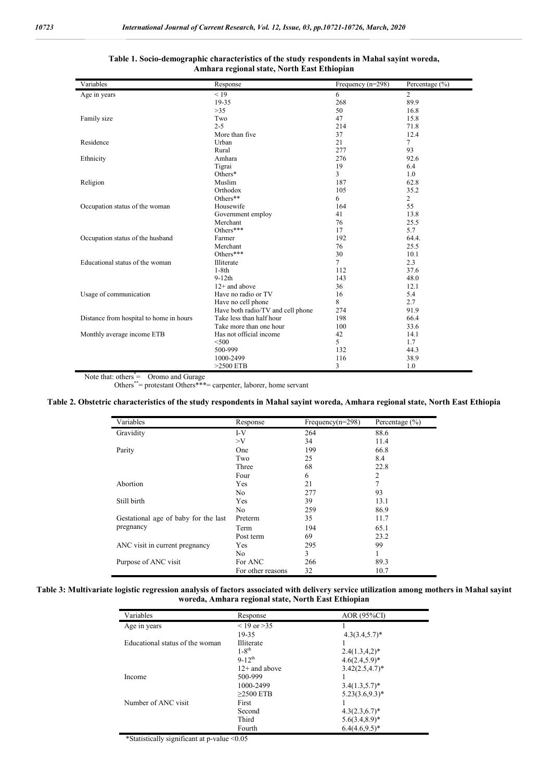| Variables                               | Response                          | Frequency $(n=298)$ | Percentage $(\% )$ |
|-----------------------------------------|-----------------------------------|---------------------|--------------------|
| Age in years                            | < 19                              | 6                   | $\overline{2}$     |
|                                         | 19-35                             | 268                 | 89.9               |
|                                         | >35                               | 50                  | 16.8               |
| Family size                             | Two                               | 47                  | 15.8               |
|                                         | $2 - 5$                           | 214                 | 71.8               |
|                                         | More than five                    | 37                  | 12.4               |
| Residence                               | Urban                             | 21                  | 7                  |
|                                         | Rural                             | 277                 | 93                 |
| Ethnicity                               | Amhara                            | 276                 | 92.6               |
|                                         | Tigrai                            | 19                  | 6.4                |
|                                         | Others*                           | 3                   | 1.0                |
| Religion                                | Muslim                            | 187                 | 62.8               |
|                                         | Orthodox                          | 105                 | 35.2               |
|                                         | Others**                          | 6                   | $\overline{2}$     |
| Occupation status of the woman          | Housewife                         | 164                 | 55                 |
|                                         | Government employ                 | 41                  | 13.8               |
|                                         | Merchant                          | 76                  | 25.5               |
|                                         | Others***                         | 17                  | 5.7                |
| Occupation status of the husband        | Farmer                            | 192                 | 64.4.              |
|                                         | Merchant                          | 76                  | 25.5               |
|                                         | Others***                         | 30                  | 10.1               |
| Educational status of the woman         | Illiterate                        | $\tau$              | 2.3                |
|                                         | $1-8th$                           | 112                 | 37.6               |
|                                         | $9-12th$                          | 143                 | 48.0               |
|                                         | $12+$ and above                   | 36                  | 12.1               |
| Usage of communication                  | Have no radio or TV               | 16                  | 5.4                |
|                                         | Have no cell phone                | 8                   | 2.7                |
|                                         | Have both radio/TV and cell phone | 274                 | 91.9               |
| Distance from hospital to home in hours | Take less than half hour          | 198                 | 66.4               |
|                                         | Take more than one hour           | 100                 | 33.6               |
| Monthly average income ETB              | Has not official income           | 42                  | 14.1               |
|                                         | $<$ 500                           | 5                   | 1.7                |
|                                         | 500-999                           | 132                 | 44.3               |
|                                         | 1000-2499                         | 116                 | 38.9               |
|                                         | $>2500$ ETB                       | 3                   | 1.0                |

#### **Table 1. Socio-demographic characteristics of the study respondents in Mahal sayint woreda, Amhara regional state, North East Ethiopian**

Note that: others<sup>\*</sup> = Oromo and Gurage<br>
Others<sup>\*\*</sup> = protestant Others<sup>\*\*\*</sup> = carpenter, laborer, home servant

#### **Table 2. Obstetric characteristics of the study respondents in Mahal sayint woreda, Amhara regional state, North East Ethiopia**

| Variables                            | Response          | Frequency( $n=298$ ) | Percentage $(\% )$ |
|--------------------------------------|-------------------|----------------------|--------------------|
| Gravidity                            | $I-V$             | 264                  | 88.6               |
|                                      | $>$ V             | 34                   | 11.4               |
| Parity                               | One               | 199                  | 66.8               |
|                                      | Two               | 25                   | 8.4                |
|                                      | Three             | 68                   | 22.8               |
|                                      | Four              | 6                    | 2                  |
| Abortion                             | Yes               | 21                   | 7                  |
|                                      | No.               | 277                  | 93                 |
| Still birth                          | Yes               | 39                   | 13.1               |
|                                      | No.               | 259                  | 86.9               |
| Gestational age of baby for the last | Preterm           | 35                   | 11.7               |
| pregnancy                            | Term              | 194                  | 65.1               |
|                                      | Post term         | 69                   | 23.2               |
| ANC visit in current pregnancy       | Yes               | 295                  | 99                 |
|                                      | No                | 3                    |                    |
| Purpose of ANC visit                 | For ANC           | 266                  | 89.3               |
|                                      | For other reasons | 32                   | 10.7               |

#### **Table 3: Multivariate logistic regression analysis of factors associated with delivery service utilization among mothers in Mahal sayint woreda, Amhara regional state, North East Ethiopian**

| Variables                       | Response         | AOR (95%CI)        |
|---------------------------------|------------------|--------------------|
| Age in years                    | $< 19$ or $> 35$ |                    |
|                                 | 19-35            | $4.3(3.4,5.7)^*$   |
| Educational status of the woman | Illiterate       |                    |
|                                 | $1 - 8^{th}$     | $2.4(1.3,4,2)*$    |
|                                 | $9-12^{th}$      | $4.6(2.4.5.9)^*$   |
|                                 | $12+$ and above  | $3.42(2.5, 4.7)^*$ |
| Income                          | 500-999          |                    |
|                                 | 1000-2499        | $3.4(1.3,5.7)^*$   |
|                                 | $>2500$ ETB      | $5.23(3.6,9.3)^*$  |
| Number of ANC visit             | First            |                    |
|                                 | Second           | $4.3(2.3,6.7)^*$   |
|                                 | Third            | $5.6(3.4,8.9)^*$   |
|                                 | Fourth           | $6.4(4.6,9.5)^*$   |

\*Statistically significant at p-value <0.05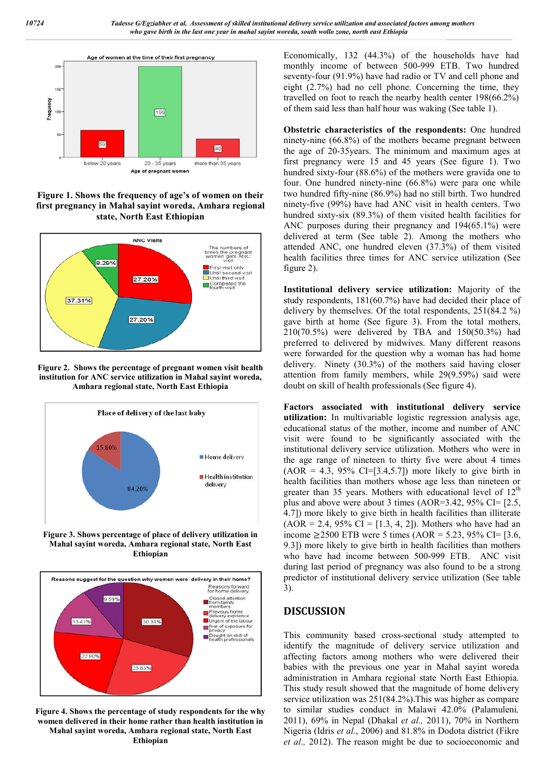

**Figure 1. Shows the frequency of age's of women on their first pregnancy in Mahal sayint woreda, Amhara regional state, North East Ethiopian**



**Figure 2. Shows the percentage of pregnant women visit health institution for ANC service utilization in Mahal sayint woreda, Amhara regional state, North East Ethiopia**



**Figure 3. Shows percentage of place of delivery utilization in Mahal sayint woreda, Amhara regional state, North East Ethiopian**



**Figure 4. Shows the percentage of study respondents for the why women delivered in their home rather than health institution in Mahal sayint woreda, Amhara regional state, North East Ethiopian**

Economically, 132 (44.3%) of the households have had monthly income of between 500-999 ETB. Two hundred seventy-four (91.9%) have had radio or TV and cell phone and eight (2.7%) had no cell phone. Concerning the time, they travelled on foot to reach the nearby health center 198(66.2%) of them said less than half hour was waking (See table 1).

**Obstetric characteristics of the respondents:** One hundred ninety-nine (66.8%) of the mothers became pregnant between the age of 20-35years. The minimum and maximum ages at first pregnancy were 15 and 45 years (See figure 1). Two hundred sixty-four (88.6%) of the mothers were gravida one to four. One hundred ninety-nine (66.8%) were para one while two hundred fifty-nine (86.9%) had no still birth. Two hundred ninety-five (99%) have had ANC visit in health centers. Two hundred sixty-six (89.3%) of them visited health facilities for ANC purposes during their pregnancy and 194(65.1%) were delivered at term (See table 2). Among the mothers who attended ANC, one hundred eleven (37.3%) of them visited health facilities three times for ANC service utilization (See figure 2).

**Institutional delivery service utilization:** Majority of the study respondents, 181(60.7%) have had decided their place of delivery by themselves. Of the total respondents, 251(84.2 %) gave birth at home (See figure 3). From the total mothers, 210(70.5%) were delivered by TBA and 150(50.3%) had preferred to delivered by midwives. Many different reasons were forwarded for the question why a woman has had home delivery. Ninety (30.3%) of the mothers said having closer attention from family members, while 29(9.59%) said were doubt on skill of health professionals (See figure 4).

**Factors associated with institutional delivery service utilization:** In multivariable logistic regression analysis age, educational status of the mother, income and number of ANC visit were found to be significantly associated with the institutional delivery service utilization. Mothers who were in the age range of nineteen to thirty five were about 4 times  $(AOR = 4.3, 95\% \text{ CI} = [3.4, 5.7])$  more likely to give birth in health facilities than mothers whose age less than nineteen or greater than 35 years. Mothers with educational level of  $12<sup>th</sup>$ plus and above were about 3 times (AOR=3.42, 95% CI= [2.5, 4.7]) more likely to give birth in health facilities than illiterate  $(AOR = 2.4, 95\% \text{ CI} = [1.3, 4, 2])$ . Mothers who have had an income ≥2500 ETB were 5 times (AOR = 5.23, 95% CI= [3.6, 9.3]) more likely to give birth in health facilities than mothers who have had income between 500-999 ETB. ANC visit during last period of pregnancy was also found to be a strong predictor of institutional delivery service utilization (See table 3).

## **DISCUSSION**

This community based cross-sectional study attempted to identify the magnitude of delivery service utilization and affecting factors among mothers who were delivered their babies with the previous one year in Mahal sayint woreda administration in Amhara regional state North East Ethiopia. This study result showed that the magnitude of home delivery service utilization was 251(84.2%).This was higher as compare to similar studies conduct in Malawi 42.0% (Palamuleni*,*  2011), 69% in Nepal (Dhakal *et al.,* 2011), 70% in Northern Nigeria (Idris *et al.*, 2006) and 81.8% in Dodota district (Fikre *et al.,* 2012). The reason might be due to socioeconomic and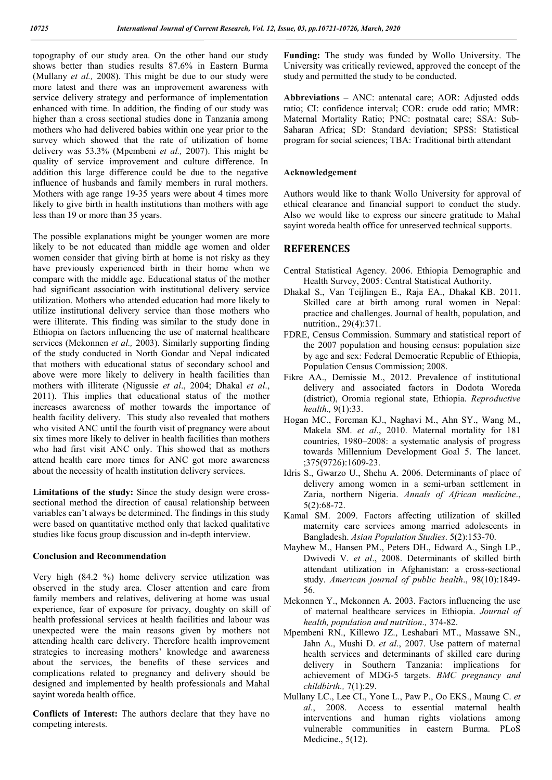topography of our study area. On the other hand our study shows better than studies results 87.6% in Eastern Burma (Mullany *et al.,* 2008). This might be due to our study were more latest and there was an improvement awareness with service delivery strategy and performance of implementation enhanced with time. In addition, the finding of our study was higher than a cross sectional studies done in Tanzania among mothers who had delivered babies within one year prior to the survey which showed that the rate of utilization of home delivery was 53.3% (Mpembeni *et al.,* 2007). This might be quality of service improvement and culture difference. In addition this large difference could be due to the negative influence of husbands and family members in rural mothers. Mothers with age range 19-35 years were about 4 times more likely to give birth in health institutions than mothers with age less than 19 or more than 35 years.

The possible explanations might be younger women are more likely to be not educated than middle age women and older women consider that giving birth at home is not risky as they have previously experienced birth in their home when we compare with the middle age. Educational status of the mother had significant association with institutional delivery service utilization. Mothers who attended education had more likely to utilize institutional delivery service than those mothers who were illiterate. This finding was similar to the study done in Ethiopia on factors influencing the use of maternal healthcare services (Mekonnen *et al.,* 2003). Similarly supporting finding of the study conducted in North Gondar and Nepal indicated that mothers with educational status of secondary school and above were more likely to delivery in health facilities than mothers with illiterate (Nigussie *et al*., 2004; Dhakal *et al*., 2011). This implies that educational status of the mother increases awareness of mother towards the importance of health facility delivery. This study also revealed that mothers who visited ANC until the fourth visit of pregnancy were about six times more likely to deliver in health facilities than mothers who had first visit ANC only. This showed that as mothers attend health care more times for ANC got more awareness about the necessity of health institution delivery services.

**Limitations of the study:** Since the study design were crosssectional method the direction of causal relationship between variables can't always be determined. The findings in this study were based on quantitative method only that lacked qualitative studies like focus group discussion and in-depth interview.

#### **Conclusion and Recommendation**

Very high (84.2 %) home delivery service utilization was observed in the study area. Closer attention and care from family members and relatives, delivering at home was usual experience, fear of exposure for privacy, doughty on skill of health professional services at health facilities and labour was unexpected were the main reasons given by mothers not attending health care delivery. Therefore health improvement strategies to increasing mothers' knowledge and awareness about the services, the benefits of these services and complications related to pregnancy and delivery should be designed and implemented by health professionals and Mahal sayint woreda health office.

**Conflicts of Interest:** The authors declare that they have no competing interests.

**Funding:** The study was funded by Wollo University. The University was critically reviewed, approved the concept of the study and permitted the study to be conducted.

**Abbreviations –** ANC: antenatal care; AOR: Adjusted odds ratio; CI: confidence interval; COR: crude odd ratio; MMR: Maternal Mortality Ratio; PNC: postnatal care; SSA: Sub-Saharan Africa; SD: Standard deviation; SPSS: Statistical program for social sciences; TBA: Traditional birth attendant

#### **Acknowledgement**

Authors would like to thank Wollo University for approval of ethical clearance and financial support to conduct the study. Also we would like to express our sincere gratitude to Mahal sayint woreda health office for unreserved technical supports.

### **REFERENCES**

- Central Statistical Agency. 2006. Ethiopia Demographic and Health Survey, 2005: Central Statistical Authority.
- Dhakal S., Van Teijlingen E., Raja EA., Dhakal KB. 2011. Skilled care at birth among rural women in Nepal: practice and challenges. Journal of health, population, and nutrition., 29(4):371.
- FDRE, Census Commission. Summary and statistical report of the 2007 population and housing census: population size by age and sex: Federal Democratic Republic of Ethiopia, Population Census Commission; 2008.
- Fikre AA., Demissie M., 2012. Prevalence of institutional delivery and associated factors in Dodota Woreda (district), Oromia regional state, Ethiopia. *Reproductive health.,* 9(1):33.
- Hogan MC., Foreman KJ., Naghavi M., Ahn SY., Wang M., Makela SM. *et al*., 2010. Maternal mortality for 181 countries, 1980–2008: a systematic analysis of progress towards Millennium Development Goal 5. The lancet. ;375(9726):1609-23.
- Idris S., Gwarzo U., Shehu A. 2006. Determinants of place of delivery among women in a semi-urban settlement in Zaria, northern Nigeria. *Annals of African medicine*., 5(2):68-72.
- Kamal SM. 2009. Factors affecting utilization of skilled maternity care services among married adolescents in Bangladesh. *Asian Population Studies*. 5(2):153-70.
- Mayhew M., Hansen PM., Peters DH., Edward A., Singh LP., Dwivedi V. *et al*., 2008. Determinants of skilled birth attendant utilization in Afghanistan: a cross-sectional study. *American journal of public health*., 98(10):1849- 56.
- Mekonnen Y., Mekonnen A. 2003. Factors influencing the use of maternal healthcare services in Ethiopia. *Journal of health, population and nutrition.,* 374-82.
- Mpembeni RN., Killewo JZ., Leshabari MT., Massawe SN., Jahn A., Mushi D. *et al*., 2007. Use pattern of maternal health services and determinants of skilled care during delivery in Southern Tanzania: implications for achievement of MDG-5 targets. *BMC pregnancy and childbirth.,* 7(1):29.
- Mullany LC., Lee CI., Yone L., Paw P., Oo EKS., Maung C. *et al*., 2008. Access to essential maternal health interventions and human rights violations among vulnerable communities in eastern Burma. PLoS Medicine., 5(12).